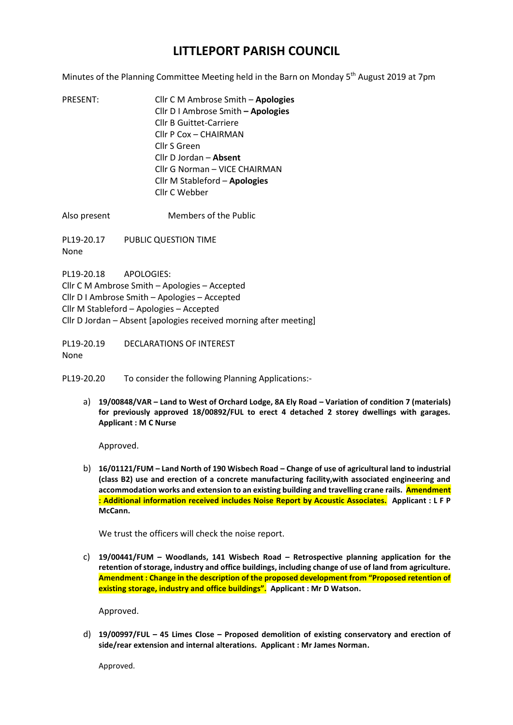## **LITTLEPORT PARISH COUNCIL**

Minutes of the Planning Committee Meeting held in the Barn on Monday 5<sup>th</sup> August 2019 at 7pm

PRESENT: Cllr C M Ambrose Smith – **Apologies** Cllr D I Ambrose Smith **– Apologies**  Cllr B Guittet-Carriere Cllr P Cox – CHAIRMAN Cllr S Green Cllr D Jordan – **Absent** Cllr G Norman – VICE CHAIRMAN Cllr M Stableford – **Apologies** Cllr C Webber

Also present Members of the Public

PL19-20.17 PUBLIC QUESTION TIME None

PL19-20.18 APOLOGIES: Cllr C M Ambrose Smith – Apologies – Accepted Cllr D I Ambrose Smith – Apologies – Accepted Cllr M Stableford – Apologies – Accepted Cllr D Jordan – Absent [apologies received morning after meeting]

PL19-20.19 DECLARATIONS OF INTEREST None

PL19-20.20 To consider the following Planning Applications:-

a) **19/00848/VAR – Land to West of Orchard Lodge, 8A Ely Road – Variation of condition 7 (materials) for previously approved 18/00892/FUL to erect 4 detached 2 storey dwellings with garages. Applicant : M C Nurse**

Approved.

b) **16/01121/FUM – Land North of 190 Wisbech Road – Change of use of agricultural land to industrial (class B2) use and erection of a concrete manufacturing facility,with associated engineering and accommodation works and extension to an existing building and travelling crane rails. Amendment : Additional information received includes Noise Report by Acoustic Associates. Applicant : L F P McCann.**

We trust the officers will check the noise report.

c) **19/00441/FUM – Woodlands, 141 Wisbech Road – Retrospective planning application for the retention of storage, industry and office buildings, including change of use of land from agriculture. Amendment : Change in the description of the proposed development from "Proposed retention of existing storage, industry and office buildings". Applicant : Mr D Watson.**

Approved.

d) **19/00997/FUL – 45 Limes Close – Proposed demolition of existing conservatory and erection of side/rear extension and internal alterations. Applicant : Mr James Norman.**

Approved.